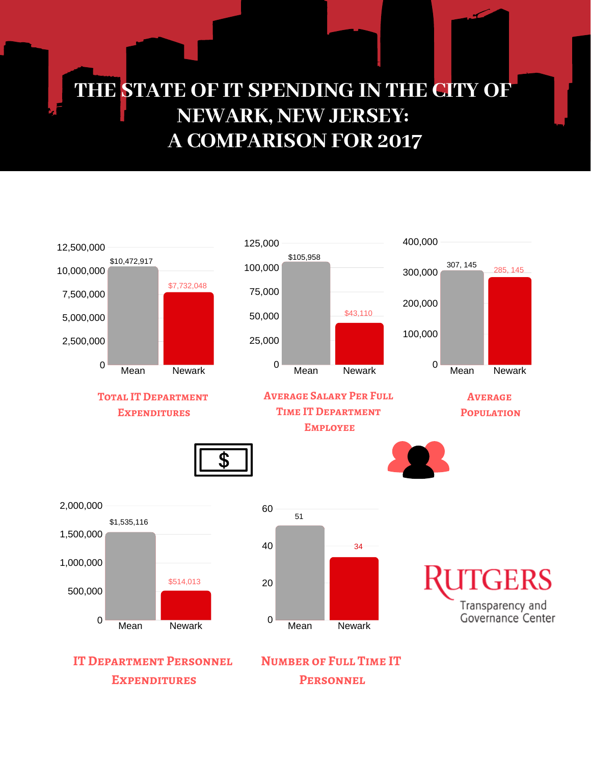## **THE STATE OF IT SPENDING IN THE CITY OF NEWARK, NEW JERSEY: A COMPARISON FOR 2017**